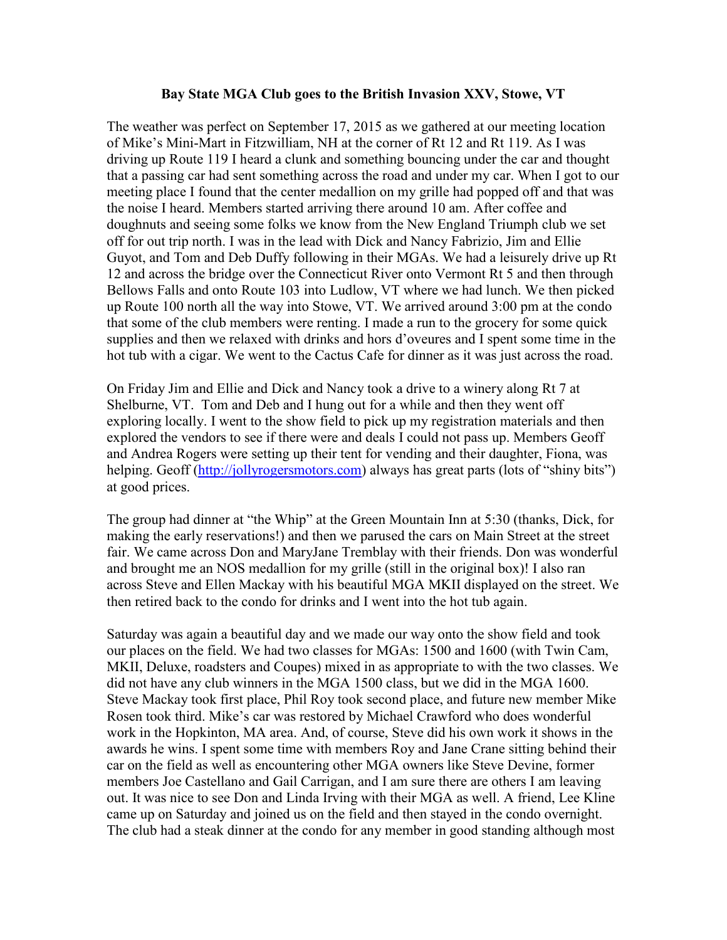## **Bay State MGA Club goes to the British Invasion XXV, Stowe, VT**

The weather was perfect on September 17, 2015 as we gathered at our meeting location of Mike's Mini-Mart in Fitzwilliam, NH at the corner of Rt 12 and Rt 119. As I was driving up Route 119 I heard a clunk and something bouncing under the car and thought that a passing car had sent something across the road and under my car. When I got to our meeting place I found that the center medallion on my grille had popped off and that was the noise I heard. Members started arriving there around 10 am. After coffee and doughnuts and seeing some folks we know from the New England Triumph club we set off for out trip north. I was in the lead with Dick and Nancy Fabrizio, Jim and Ellie Guyot, and Tom and Deb Duffy following in their MGAs. We had a leisurely drive up Rt 12 and across the bridge over the Connecticut River onto Vermont Rt 5 and then through Bellows Falls and onto Route 103 into Ludlow, VT where we had lunch. We then picked up Route 100 north all the way into Stowe, VT. We arrived around 3:00 pm at the condo that some of the club members were renting. I made a run to the grocery for some quick supplies and then we relaxed with drinks and hors d'oveures and I spent some time in the hot tub with a cigar. We went to the Cactus Cafe for dinner as it was just across the road.

On Friday Jim and Ellie and Dick and Nancy took a drive to a winery along Rt 7 at Shelburne, VT. Tom and Deb and I hung out for a while and then they went off exploring locally. I went to the show field to pick up my registration materials and then explored the vendors to see if there were and deals I could not pass up. Members Geoff and Andrea Rogers were setting up their tent for vending and their daughter, Fiona, was helping. Geoff (http://jollyrogersmotors.com) always has great parts (lots of "shiny bits") at good prices.

The group had dinner at "the Whip" at the Green Mountain Inn at 5:30 (thanks, Dick, for making the early reservations!) and then we parused the cars on Main Street at the street fair. We came across Don and MaryJane Tremblay with their friends. Don was wonderful and brought me an NOS medallion for my grille (still in the original box)! I also ran across Steve and Ellen Mackay with his beautiful MGA MKII displayed on the street. We then retired back to the condo for drinks and I went into the hot tub again.

Saturday was again a beautiful day and we made our way onto the show field and took our places on the field. We had two classes for MGAs: 1500 and 1600 (with Twin Cam, MKII, Deluxe, roadsters and Coupes) mixed in as appropriate to with the two classes. We did not have any club winners in the MGA 1500 class, but we did in the MGA 1600. Steve Mackay took first place, Phil Roy took second place, and future new member Mike Rosen took third. Mike's car was restored by Michael Crawford who does wonderful work in the Hopkinton, MA area. And, of course, Steve did his own work it shows in the awards he wins. I spent some time with members Roy and Jane Crane sitting behind their car on the field as well as encountering other MGA owners like Steve Devine, former members Joe Castellano and Gail Carrigan, and I am sure there are others I am leaving out. It was nice to see Don and Linda Irving with their MGA as well. A friend, Lee Kline came up on Saturday and joined us on the field and then stayed in the condo overnight. The club had a steak dinner at the condo for any member in good standing although most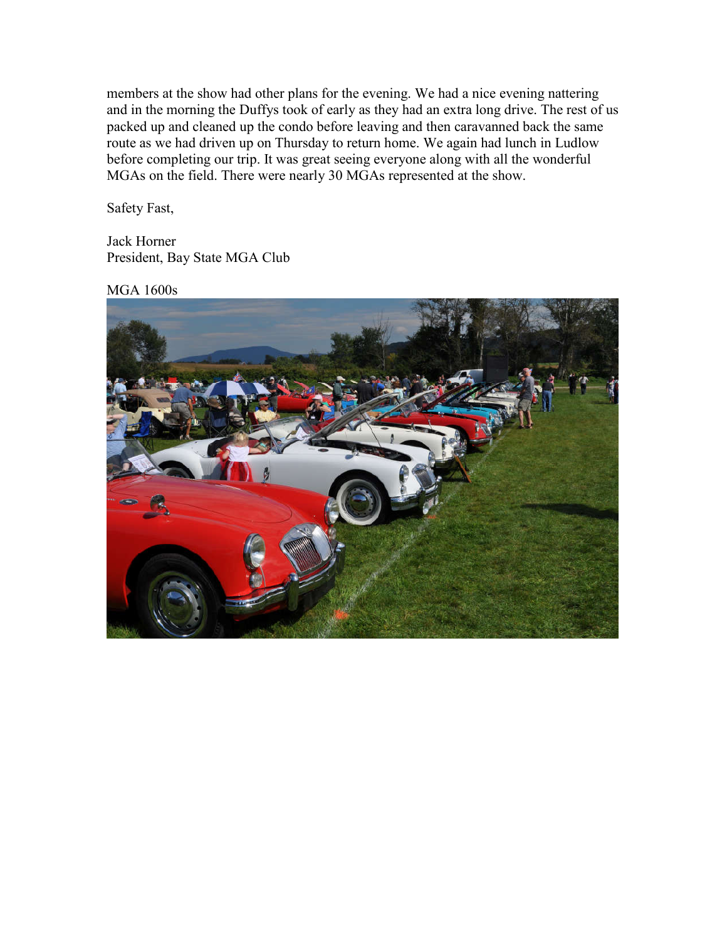members at the show had other plans for the evening. We had a nice evening nattering and in the morning the Duffys took of early as they had an extra long drive. The rest of us packed up and cleaned up the condo before leaving and then caravanned back the same route as we had driven up on Thursday to return home. We again had lunch in Ludlow before completing our trip. It was great seeing everyone along with all the wonderful MGAs on the field. There were nearly 30 MGAs represented at the show.

Safety Fast,

Jack Horner President, Bay State MGA Club

MGA 1600s